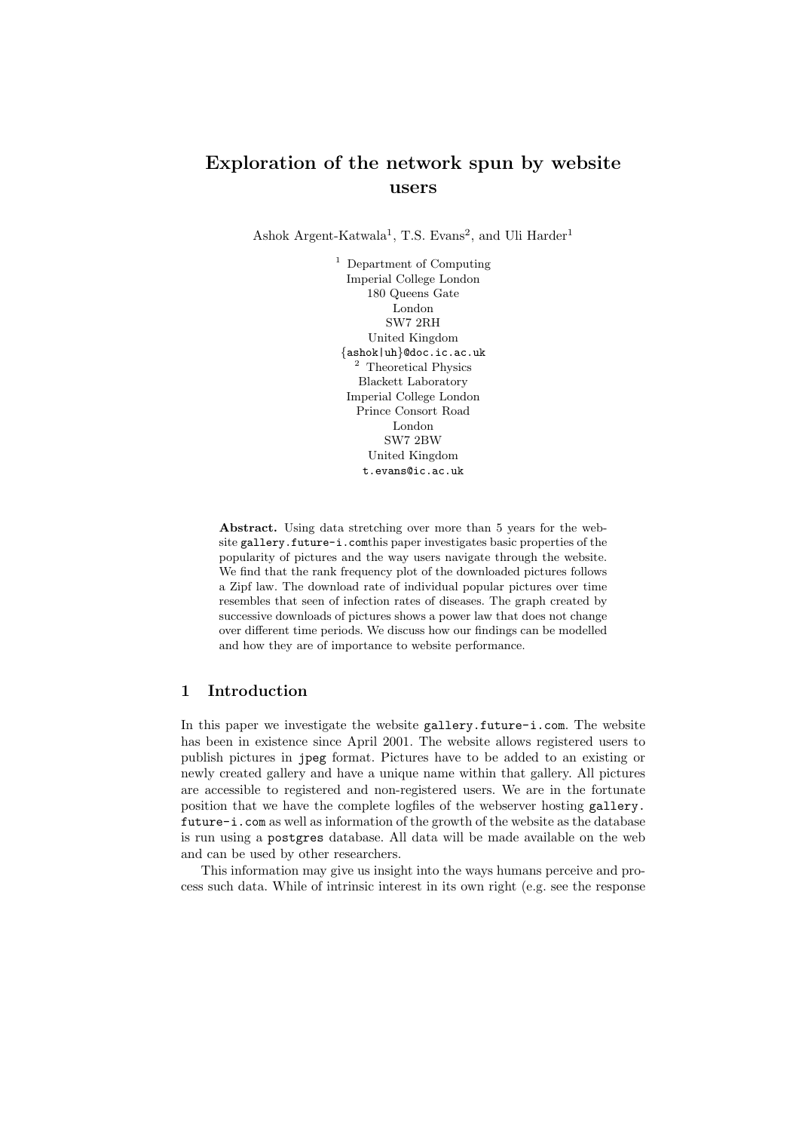# Exploration of the network spun by website users

Ashok Argent-Katwala<sup>1</sup>, T.S. Evans<sup>2</sup>, and Uli Harder<sup>1</sup>

<sup>1</sup> Department of Computing Imperial College London 180 Queens Gate London SW7 2RH United Kingdom {ashok|uh}@doc.ic.ac.uk <sup>2</sup> Theoretical Physics Blackett Laboratory Imperial College London Prince Consort Road London SW7 2BW United Kingdom t.evans@ic.ac.uk

Abstract. Using data stretching over more than 5 years for the website gallery.future-i.comthis paper investigates basic properties of the popularity of pictures and the way users navigate through the website. We find that the rank frequency plot of the downloaded pictures follows a Zipf law. The download rate of individual popular pictures over time resembles that seen of infection rates of diseases. The graph created by successive downloads of pictures shows a power law that does not change over different time periods. We discuss how our findings can be modelled and how they are of importance to website performance.

## 1 Introduction

In this paper we investigate the website gallery.future-i.com. The website has been in existence since April 2001. The website allows registered users to publish pictures in jpeg format. Pictures have to be added to an existing or newly created gallery and have a unique name within that gallery. All pictures are accessible to registered and non-registered users. We are in the fortunate position that we have the complete logfiles of the webserver hosting gallery. future-i.com as well as information of the growth of the website as the database is run using a postgres database. All data will be made available on the web and can be used by other researchers.

This information may give us insight into the ways humans perceive and process such data. While of intrinsic interest in its own right (e.g. see the response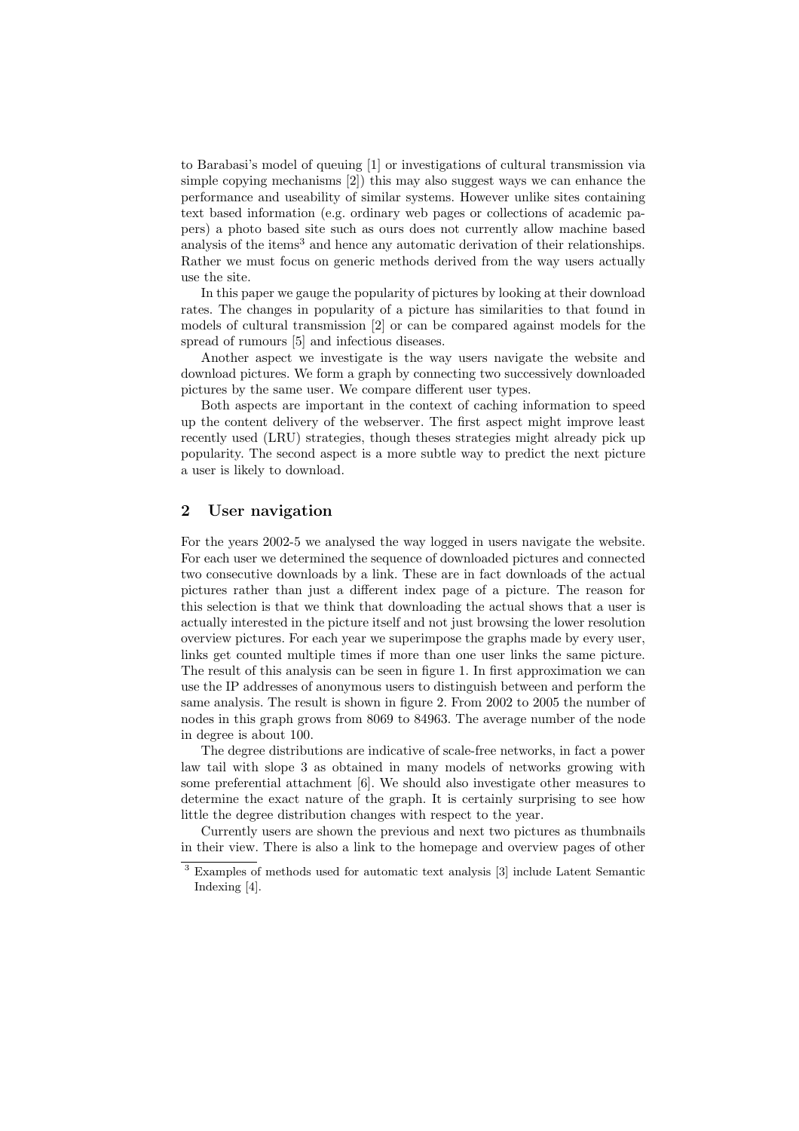to Barabasi's model of queuing [1] or investigations of cultural transmission via simple copying mechanisms [2]) this may also suggest ways we can enhance the performance and useability of similar systems. However unlike sites containing text based information (e.g. ordinary web pages or collections of academic papers) a photo based site such as ours does not currently allow machine based analysis of the items<sup>3</sup> and hence any automatic derivation of their relationships. Rather we must focus on generic methods derived from the way users actually use the site.

In this paper we gauge the popularity of pictures by looking at their download rates. The changes in popularity of a picture has similarities to that found in models of cultural transmission [2] or can be compared against models for the spread of rumours [5] and infectious diseases.

Another aspect we investigate is the way users navigate the website and download pictures. We form a graph by connecting two successively downloaded pictures by the same user. We compare different user types.

Both aspects are important in the context of caching information to speed up the content delivery of the webserver. The first aspect might improve least recently used (LRU) strategies, though theses strategies might already pick up popularity. The second aspect is a more subtle way to predict the next picture a user is likely to download.

#### 2 User navigation

For the years 2002-5 we analysed the way logged in users navigate the website. For each user we determined the sequence of downloaded pictures and connected two consecutive downloads by a link. These are in fact downloads of the actual pictures rather than just a different index page of a picture. The reason for this selection is that we think that downloading the actual shows that a user is actually interested in the picture itself and not just browsing the lower resolution overview pictures. For each year we superimpose the graphs made by every user, links get counted multiple times if more than one user links the same picture. The result of this analysis can be seen in figure 1. In first approximation we can use the IP addresses of anonymous users to distinguish between and perform the same analysis. The result is shown in figure 2. From 2002 to 2005 the number of nodes in this graph grows from 8069 to 84963. The average number of the node in degree is about 100.

The degree distributions are indicative of scale-free networks, in fact a power law tail with slope 3 as obtained in many models of networks growing with some preferential attachment [6]. We should also investigate other measures to determine the exact nature of the graph. It is certainly surprising to see how little the degree distribution changes with respect to the year.

Currently users are shown the previous and next two pictures as thumbnails in their view. There is also a link to the homepage and overview pages of other

<sup>3</sup> Examples of methods used for automatic text analysis [3] include Latent Semantic Indexing [4].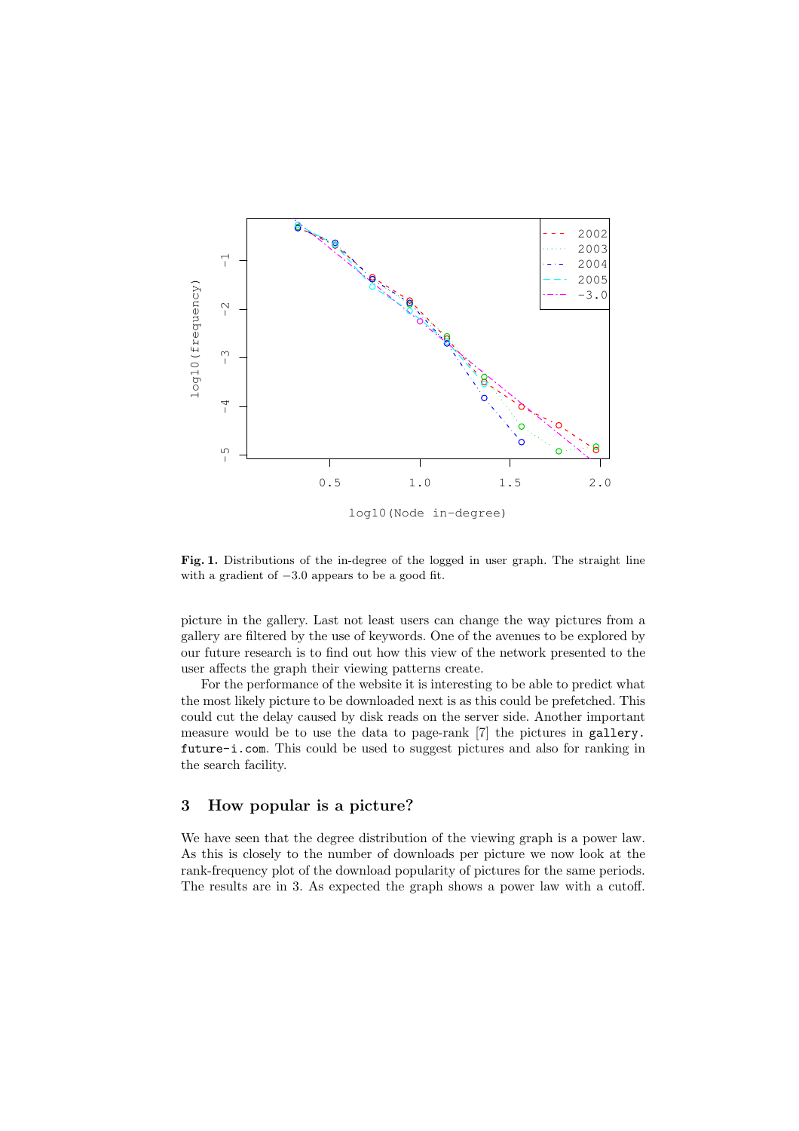

Fig. 1. Distributions of the in-degree of the logged in user graph. The straight line with a gradient of −3.0 appears to be a good fit.

picture in the gallery. Last not least users can change the way pictures from a gallery are filtered by the use of keywords. One of the avenues to be explored by our future research is to find out how this view of the network presented to the user affects the graph their viewing patterns create.

For the performance of the website it is interesting to be able to predict what the most likely picture to be downloaded next is as this could be prefetched. This could cut the delay caused by disk reads on the server side. Another important measure would be to use the data to page-rank [7] the pictures in gallery. future-i.com. This could be used to suggest pictures and also for ranking in the search facility.

#### 3 How popular is a picture?

We have seen that the degree distribution of the viewing graph is a power law. As this is closely to the number of downloads per picture we now look at the rank-frequency plot of the download popularity of pictures for the same periods. The results are in 3. As expected the graph shows a power law with a cutoff.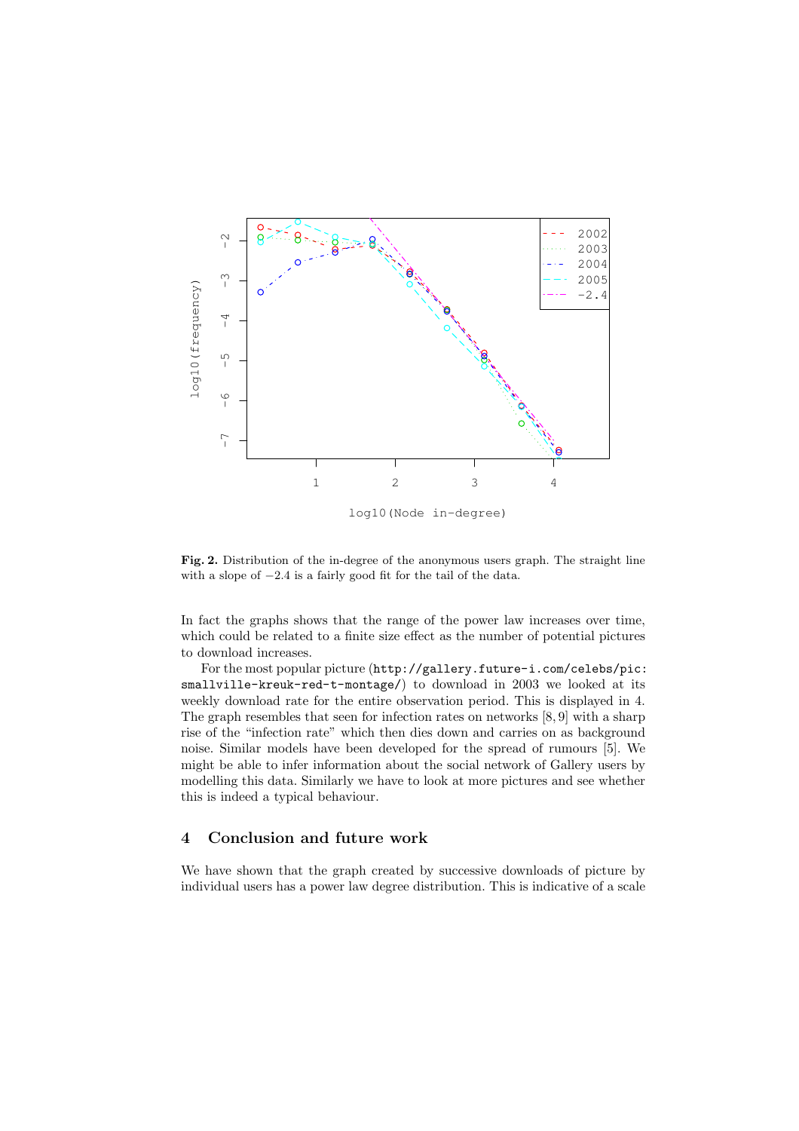

Fig. 2. Distribution of the in-degree of the anonymous users graph. The straight line with a slope of  $-2.4$  is a fairly good fit for the tail of the data.

In fact the graphs shows that the range of the power law increases over time, which could be related to a finite size effect as the number of potential pictures to download increases.

For the most popular picture (http://gallery.future-i.com/celebs/pic: smallville-kreuk-red-t-montage/) to download in 2003 we looked at its weekly download rate for the entire observation period. This is displayed in 4. The graph resembles that seen for infection rates on networks [8, 9] with a sharp rise of the "infection rate" which then dies down and carries on as background noise. Similar models have been developed for the spread of rumours [5]. We might be able to infer information about the social network of Gallery users by modelling this data. Similarly we have to look at more pictures and see whether this is indeed a typical behaviour.

### 4 Conclusion and future work

We have shown that the graph created by successive downloads of picture by individual users has a power law degree distribution. This is indicative of a scale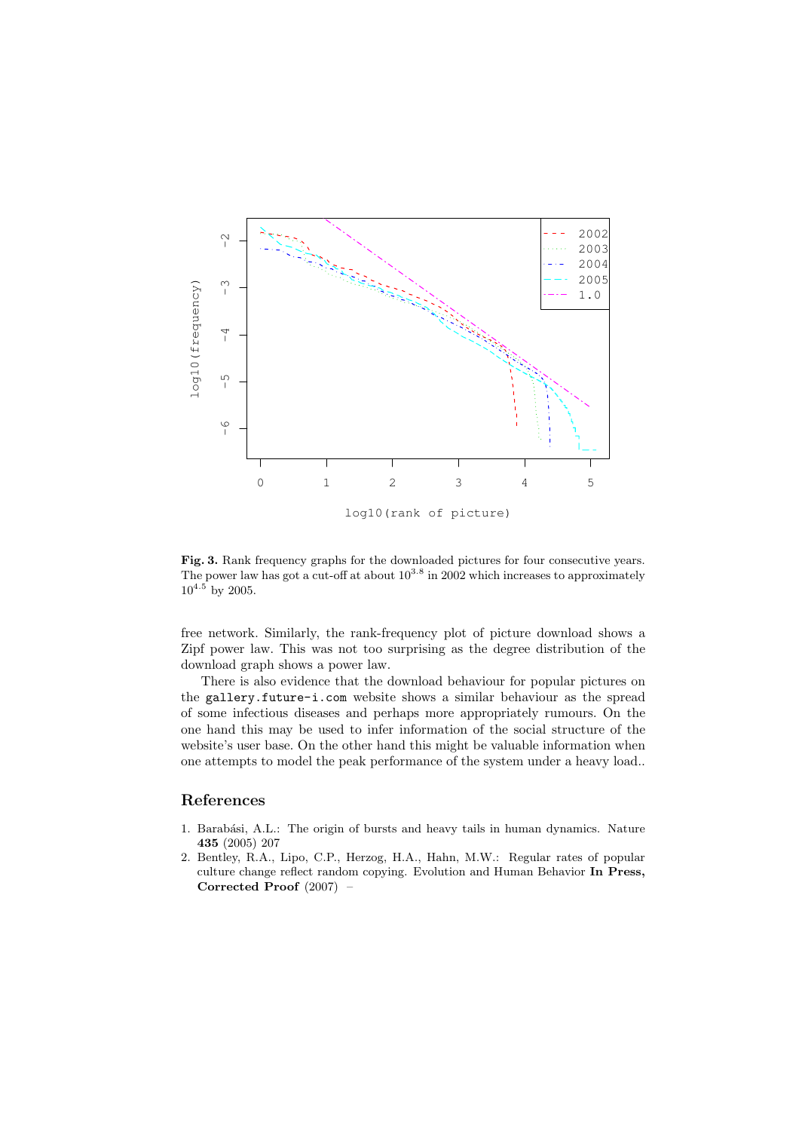

Fig. 3. Rank frequency graphs for the downloaded pictures for four consecutive years. The power law has got a cut-off at about  $10^{3.8}$  in 2002 which increases to approximately  $10^{4.5}$  by 2005.

free network. Similarly, the rank-frequency plot of picture download shows a Zipf power law. This was not too surprising as the degree distribution of the download graph shows a power law.

There is also evidence that the download behaviour for popular pictures on the gallery.future-i.com website shows a similar behaviour as the spread of some infectious diseases and perhaps more appropriately rumours. On the one hand this may be used to infer information of the social structure of the website's user base. On the other hand this might be valuable information when one attempts to model the peak performance of the system under a heavy load..

## References

- 1. Barabási, A.L.: The origin of bursts and heavy tails in human dynamics. Nature 435 (2005) 207
- 2. Bentley, R.A., Lipo, C.P., Herzog, H.A., Hahn, M.W.: Regular rates of popular culture change reflect random copying. Evolution and Human Behavior In Press, Corrected Proof (2007) –